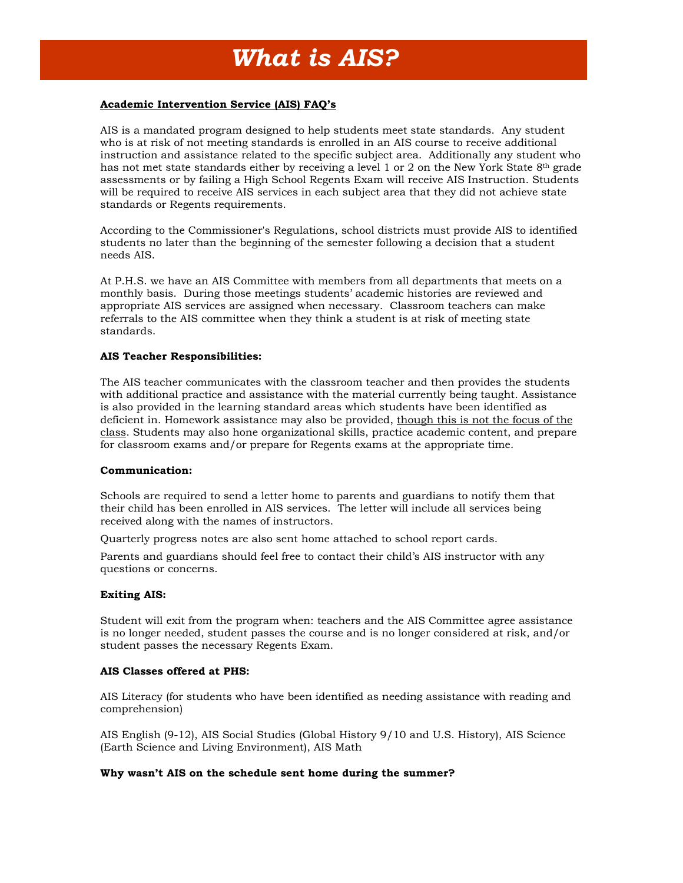# **Academic Intervention Service (AIS) FAQ's**

AIS is a mandated program designed to help students meet state standards. Any student who is at risk of not meeting standards is enrolled in an AIS course to receive additional instruction and assistance related to the specific subject area. Additionally any student who has not met state standards either by receiving a level 1 or 2 on the New York State  $8<sup>th</sup>$  grade assessments or by failing a High School Regents Exam will receive AIS Instruction. Students will be required to receive AIS services in each subject area that they did not achieve state standards or Regents requirements.

According to the Commissioner's Regulations, school districts must provide AIS to identified students no later than the beginning of the semester following a decision that a student needs AIS.

At P.H.S. we have an AIS Committee with members from all departments that meets on a monthly basis. During those meetings students' academic histories are reviewed and appropriate AIS services are assigned when necessary. Classroom teachers can make referrals to the AIS committee when they think a student is at risk of meeting state standards.

### **AIS Teacher Responsibilities:**

The AIS teacher communicates with the classroom teacher and then provides the students with additional practice and assistance with the material currently being taught. Assistance is also provided in the learning standard areas which students have been identified as deficient in. Homework assistance may also be provided, though this is not the focus of the class. Students may also hone organizational skills, practice academic content, and prepare for classroom exams and/or prepare for Regents exams at the appropriate time.

### **Communication:**

Schools are required to send a letter home to parents and guardians to notify them that their child has been enrolled in AIS services. The letter will include all services being received along with the names of instructors.

Quarterly progress notes are also sent home attached to school report cards.

Parents and guardians should feel free to contact their child's AIS instructor with any questions or concerns.

## **Exiting AIS:**

Student will exit from the program when: teachers and the AIS Committee agree assistance is no longer needed, student passes the course and is no longer considered at risk, and/or student passes the necessary Regents Exam.

### **AIS Classes offered at PHS:**

AIS Literacy (for students who have been identified as needing assistance with reading and comprehension)

AIS English (9-12), AIS Social Studies (Global History 9/10 and U.S. History), AIS Science (Earth Science and Living Environment), AIS Math

### **Why wasn't AIS on the schedule sent home during the summer?**